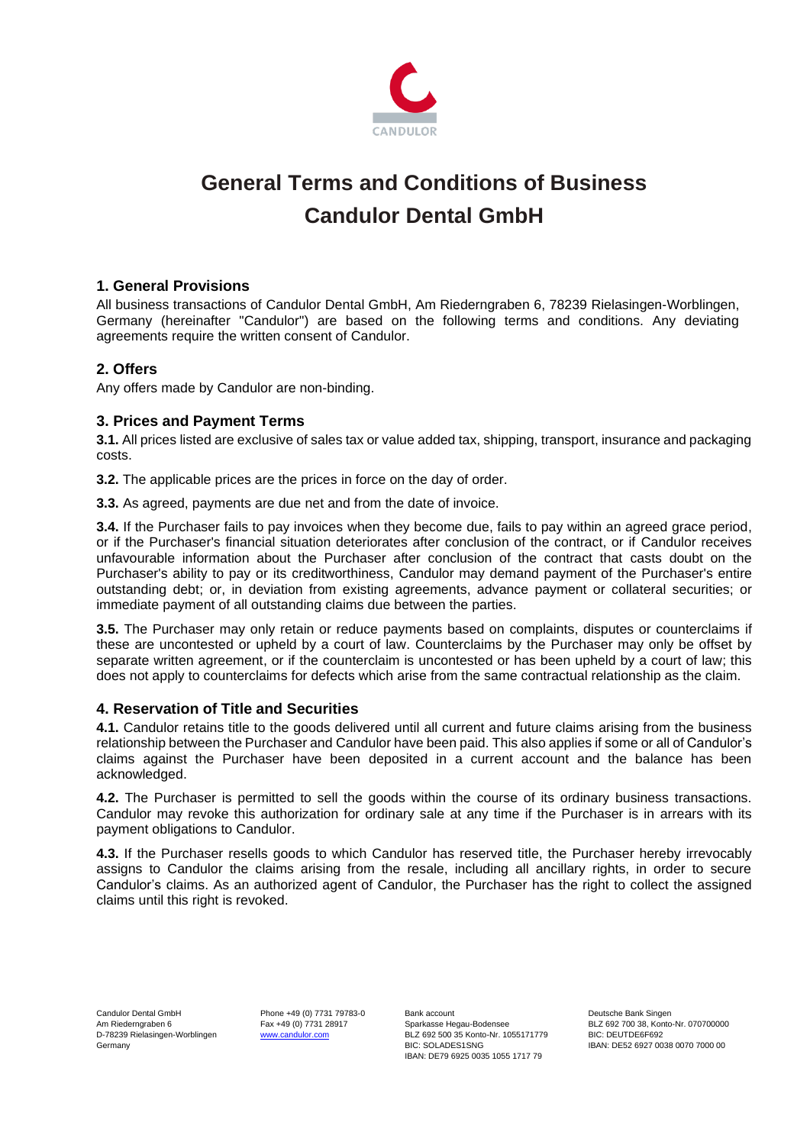

# **General Terms and Conditions of Business Candulor Dental GmbH**

# **1. General Provisions**

All business transactions of Candulor Dental GmbH, Am Riederngraben 6, 78239 Rielasingen-Worblingen, Germany (hereinafter "Candulor") are based on the following terms and conditions. Any deviating agreements require the written consent of Candulor.

# **2. Offers**

Any offers made by Candulor are non-binding.

# **3. Prices and Payment Terms**

**3.1.** All prices listed are exclusive of sales tax or value added tax, shipping, transport, insurance and packaging costs.

**3.2.** The applicable prices are the prices in force on the day of order.

**3.3.** As agreed, payments are due net and from the date of invoice.

**3.4.** If the Purchaser fails to pay invoices when they become due, fails to pay within an agreed grace period, or if the Purchaser's financial situation deteriorates after conclusion of the contract, or if Candulor receives unfavourable information about the Purchaser after conclusion of the contract that casts doubt on the Purchaser's ability to pay or its creditworthiness, Candulor may demand payment of the Purchaser's entire outstanding debt; or, in deviation from existing agreements, advance payment or collateral securities; or immediate payment of all outstanding claims due between the parties.

**3.5.** The Purchaser may only retain or reduce payments based on complaints, disputes or counterclaims if these are uncontested or upheld by a court of law. Counterclaims by the Purchaser may only be offset by separate written agreement, or if the counterclaim is uncontested or has been upheld by a court of law; this does not apply to counterclaims for defects which arise from the same contractual relationship as the claim.

## **4. Reservation of Title and Securities**

**4.1.** Candulor retains title to the goods delivered until all current and future claims arising from the business relationship between the Purchaser and Candulor have been paid. This also applies if some or all of Candulor's claims against the Purchaser have been deposited in a current account and the balance has been acknowledged.

**4.2.** The Purchaser is permitted to sell the goods within the course of its ordinary business transactions. Candulor may revoke this authorization for ordinary sale at any time if the Purchaser is in arrears with its payment obligations to Candulor.

**4.3.** If the Purchaser resells goods to which Candulor has reserved title, the Purchaser hereby irrevocably assigns to Candulor the claims arising from the resale, including all ancillary rights, in order to secure Candulor's claims. As an authorized agent of Candulor, the Purchaser has the right to collect the assigned claims until this right is revoked.

Candulor Dental GmbH Phone +49 (0) 7731 79783-0 Bank account Bank account Deutsche Bank Singen<br>Am Riederngraben 6 Cass +49 (0) 7731 28917 Sparkasse Hegau-Bodensee Cass BLZ 692 700 38, Konto Am Riederngraben 6 Fax +49 (0) 7731 28917 Sparkasse Hegau-Bodensee Buz 692 700 38, Konto-Nr. 070700000<br>D-78239 Rielasingen-Worblingen Werklam Martical Munch and BLZ 692 500 35 Konto-Nr. 1055171779 BIC: DEUTDE6F692 D-78239 Rielasingen-Worblingen [www.candulor.com](http://www.candulor.com/) BLZ 692 500 35 Konto-Nr. 1055171779<br>Germany BIC: SOLADES1SNG IBAN: DE79 6925 0035 1055 1717 79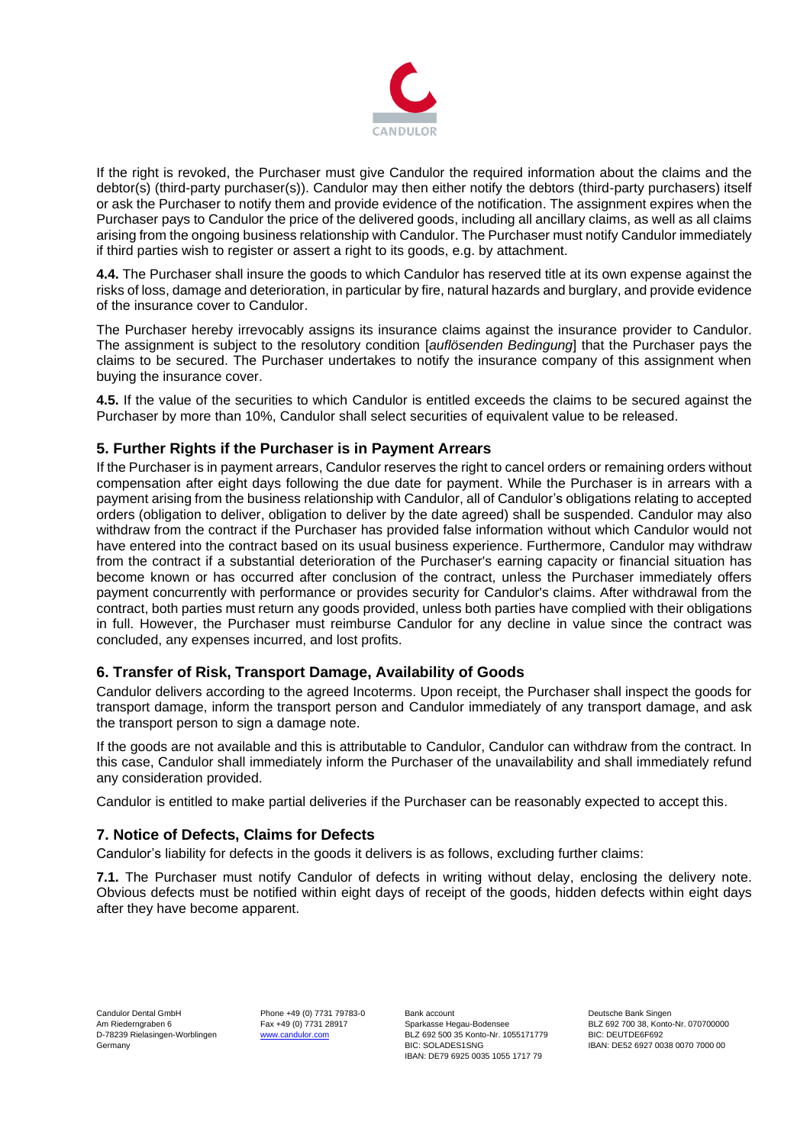

If the right is revoked, the Purchaser must give Candulor the required information about the claims and the debtor(s) (third-party purchaser(s)). Candulor may then either notify the debtors (third-party purchasers) itself or ask the Purchaser to notify them and provide evidence of the notification. The assignment expires when the Purchaser pays to Candulor the price of the delivered goods, including all ancillary claims, as well as all claims arising from the ongoing business relationship with Candulor. The Purchaser must notify Candulor immediately if third parties wish to register or assert a right to its goods, e.g. by attachment.

**4.4.** The Purchaser shall insure the goods to which Candulor has reserved title at its own expense against the risks of loss, damage and deterioration, in particular by fire, natural hazards and burglary, and provide evidence of the insurance cover to Candulor.

The Purchaser hereby irrevocably assigns its insurance claims against the insurance provider to Candulor. The assignment is subject to the resolutory condition [*auflösenden Bedingung*] that the Purchaser pays the claims to be secured. The Purchaser undertakes to notify the insurance company of this assignment when buying the insurance cover.

**4.5.** If the value of the securities to which Candulor is entitled exceeds the claims to be secured against the Purchaser by more than 10%, Candulor shall select securities of equivalent value to be released.

# **5. Further Rights if the Purchaser is in Payment Arrears**

If the Purchaser is in payment arrears, Candulor reserves the right to cancel orders or remaining orders without compensation after eight days following the due date for payment. While the Purchaser is in arrears with a payment arising from the business relationship with Candulor, all of Candulor's obligations relating to accepted orders (obligation to deliver, obligation to deliver by the date agreed) shall be suspended. Candulor may also withdraw from the contract if the Purchaser has provided false information without which Candulor would not have entered into the contract based on its usual business experience. Furthermore, Candulor may withdraw from the contract if a substantial deterioration of the Purchaser's earning capacity or financial situation has become known or has occurred after conclusion of the contract, unless the Purchaser immediately offers payment concurrently with performance or provides security for Candulor's claims. After withdrawal from the contract, both parties must return any goods provided, unless both parties have complied with their obligations in full. However, the Purchaser must reimburse Candulor for any decline in value since the contract was concluded, any expenses incurred, and lost profits.

## **6. Transfer of Risk, Transport Damage, Availability of Goods**

Candulor delivers according to the agreed Incoterms. Upon receipt, the Purchaser shall inspect the goods for transport damage, inform the transport person and Candulor immediately of any transport damage, and ask the transport person to sign a damage note.

If the goods are not available and this is attributable to Candulor, Candulor can withdraw from the contract. In this case, Candulor shall immediately inform the Purchaser of the unavailability and shall immediately refund any consideration provided.

Candulor is entitled to make partial deliveries if the Purchaser can be reasonably expected to accept this.

## **7. Notice of Defects, Claims for Defects**

Candulor's liability for defects in the goods it delivers is as follows, excluding further claims:

**7.1.** The Purchaser must notify Candulor of defects in writing without delay, enclosing the delivery note. Obvious defects must be notified within eight days of receipt of the goods, hidden defects within eight days after they have become apparent.

Candulor Dental GmbH Phone +49 (0) 7731 79783-0 Bank account Bank account Deutsche Bank Singen<br>Am Riederngraben 6 Fax +49 (0) 7731 28917 Sparkasse Hegau-Bodensee Bank BLZ 692 700 38. Konto Am Riederngraben 6 Fax +49 (0) 7731 28917 Sparkasse Hegau-Bodensee Buz 692 700 38, Konto-Nr. 070700000<br>D-78239 Rielasingen-Worblingen Werklam Martical Munch and BLZ 692 500 35 Konto-Nr. 1055171779 BIC: DEUTDE6F692 D-78239 Rielasingen-Worblingen [www.candulor.com](http://www.candulor.com/) BLZ 692 500 35 Konto-Nr. 1055171779<br>Germany BIC: SOLADES1SNG IBAN: DE79 6925 0035 1055 1717 79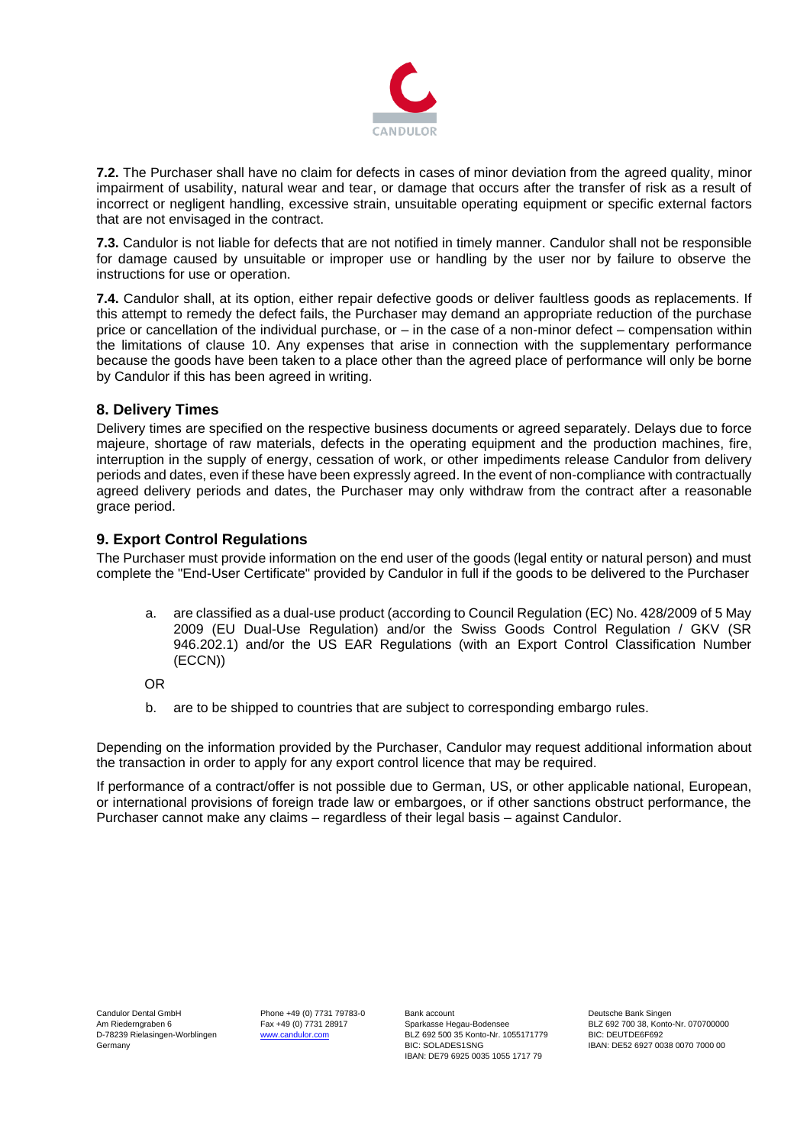

**7.2.** The Purchaser shall have no claim for defects in cases of minor deviation from the agreed quality, minor impairment of usability, natural wear and tear, or damage that occurs after the transfer of risk as a result of incorrect or negligent handling, excessive strain, unsuitable operating equipment or specific external factors that are not envisaged in the contract.

**7.3.** Candulor is not liable for defects that are not notified in timely manner. Candulor shall not be responsible for damage caused by unsuitable or improper use or handling by the user nor by failure to observe the instructions for use or operation.

**7.4.** Candulor shall, at its option, either repair defective goods or deliver faultless goods as replacements. If this attempt to remedy the defect fails, the Purchaser may demand an appropriate reduction of the purchase price or cancellation of the individual purchase, or – in the case of a non-minor defect – compensation within the limitations of clause 10. Any expenses that arise in connection with the supplementary performance because the goods have been taken to a place other than the agreed place of performance will only be borne by Candulor if this has been agreed in writing.

# **8. Delivery Times**

Delivery times are specified on the respective business documents or agreed separately. Delays due to force majeure, shortage of raw materials, defects in the operating equipment and the production machines, fire, interruption in the supply of energy, cessation of work, or other impediments release Candulor from delivery periods and dates, even if these have been expressly agreed. In the event of non-compliance with contractually agreed delivery periods and dates, the Purchaser may only withdraw from the contract after a reasonable grace period.

# **9. Export Control Regulations**

The Purchaser must provide information on the end user of the goods (legal entity or natural person) and must complete the "End-User Certificate" provided by Candulor in full if the goods to be delivered to the Purchaser

a. are classified as a dual-use product (according to Council Regulation (EC) No. 428/2009 of 5 May 2009 (EU Dual-Use Regulation) and/or the Swiss Goods Control Regulation / GKV (SR 946.202.1) and/or the US EAR Regulations (with an Export Control Classification Number (ECCN))

OR

b. are to be shipped to countries that are subject to corresponding embargo rules.

Depending on the information provided by the Purchaser, Candulor may request additional information about the transaction in order to apply for any export control licence that may be required.

If performance of a contract/offer is not possible due to German, US, or other applicable national, European, or international provisions of foreign trade law or embargoes, or if other sanctions obstruct performance, the Purchaser cannot make any claims – regardless of their legal basis – against Candulor.

Candulor Dental GmbH Phone +49 (0) 7731 79783-0 Bank account Bank account Deutsche Bank Singen<br>Am Riederngraben 6 Cass +49 (0) 7731 28917 Sparkasse Hegau-Bodensee Cass BLZ 692 700 38, Konto Am Riederngraben 6 Fax +49 (0) 7731 28917 Sparkasse Hegau-Bodensee Buz 692 700 38, Konto-Nr. 070700000<br>D-78239 Rielasingen-Worblingen Werklam Martical Munch and BLZ 692 500 35 Konto-Nr. 1055171779 BIC: DEUTDE6F692 D-78239 Rielasingen-Worblingen [www.candulor.com](http://www.candulor.com/) BLZ 692 500 35 Konto-Nr. 1055171779<br>Germany BIC: SOLADES1SNG IBAN: DE79 6925 0035 1055 1717 79